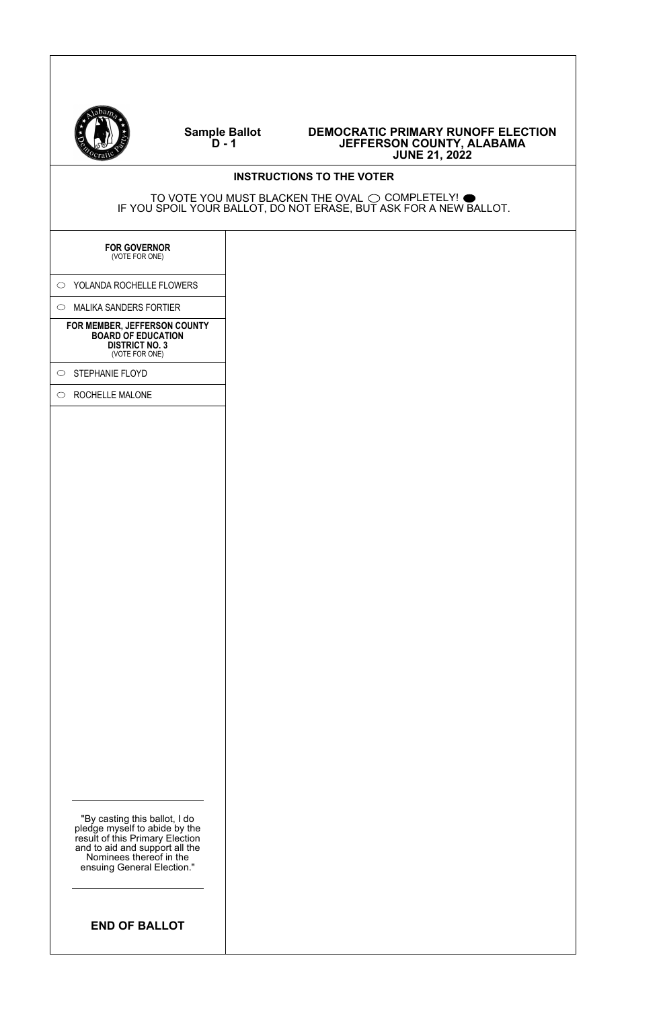

#### **Sample Ballot D - 1**

| Ceratic                                                                                                                                                                                      | <b>JUNE 21, 2022</b>             |  |
|----------------------------------------------------------------------------------------------------------------------------------------------------------------------------------------------|----------------------------------|--|
|                                                                                                                                                                                              | <b>INSTRUCTIONS TO THE VOTER</b> |  |
| TO VOTE YOU MUST BLACKEN THE OVAL $\bigcirc$ completely! $\bullet$<br>IF YOU SPOIL YOUR BALLOT, DO NOT ERASE, BUT ASK FOR A NEW BALLOT.                                                      |                                  |  |
| <b>FOR GOVERNOR</b><br>(VOTE FOR ONE)                                                                                                                                                        |                                  |  |
| O YOLANDA ROCHELLE FLOWERS                                                                                                                                                                   |                                  |  |
| $\circ$ MALIKA SANDERS FORTIER                                                                                                                                                               |                                  |  |
| FOR MEMBER, JEFFERSON COUNTY<br><b>BOARD OF EDUCATION</b><br><b>DISTRICT NO. 3</b><br>(VOTE FOR ONE)                                                                                         |                                  |  |
| $\circ$ STEPHANIE FLOYD                                                                                                                                                                      |                                  |  |
| ROCHELLE MALONE<br>$\circ$                                                                                                                                                                   |                                  |  |
|                                                                                                                                                                                              |                                  |  |
| "By casting this ballot, I do<br>pledge myself to abide by the<br>result of this Primary Election<br>and to aid and support all the<br>Nominees thereof in the<br>ensuing General Election." |                                  |  |
| <b>END OF BALLOT</b>                                                                                                                                                                         |                                  |  |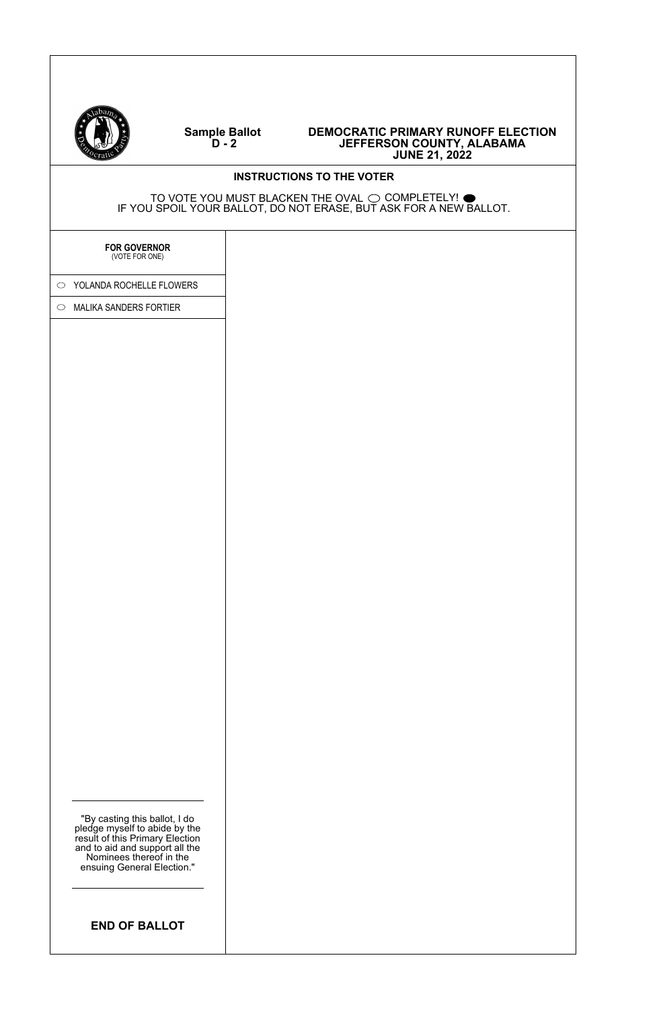

#### **DEMOCRATIC PRIMARY RUNOFF ELECTION JEFFERSON COUNTY, ALABAMA JUNE 21, 2022**

# "By casting this ballot, I do pledge myself to abide by the result of this Primary Election and to aid and support all the Nominees thereof in the ensuing General Election." **INSTRUCTIONS TO THE VOTER** TO VOTE YOU MUST BLACKEN THE OVAL  $\odot$  COMPLETELY! IF YOU SPOIL YOUR BALLOT, DO NOT ERASE, BUT ASK FOR A NEW BALLOT. **END OF BALLOT FOR GOVERNOR** (VOTE FOR ONE) O YOLANDA ROCHELLE FLOWERS  $\circ$  MALIKA SANDERS FORTIER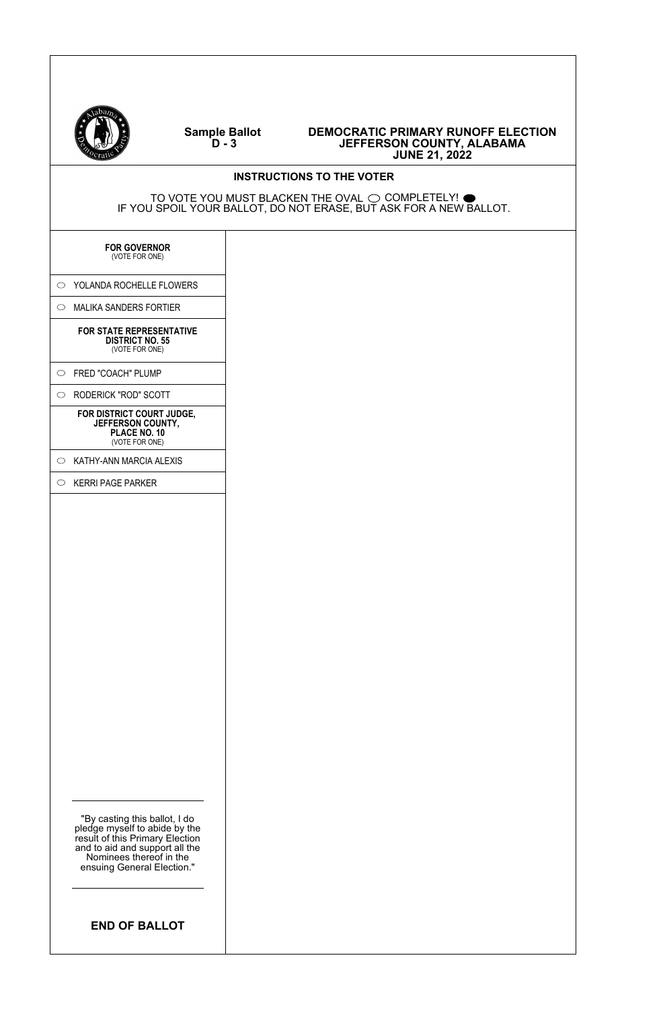

 $\overline{1}$ 

#### **Sample Ballot D - 3**

| Qcratu                                                                                                                                                                                       | <b>JUNE 21, 2022</b>                                                                                                                    |
|----------------------------------------------------------------------------------------------------------------------------------------------------------------------------------------------|-----------------------------------------------------------------------------------------------------------------------------------------|
|                                                                                                                                                                                              | <b>INSTRUCTIONS TO THE VOTER</b>                                                                                                        |
|                                                                                                                                                                                              | TO VOTE YOU MUST BLACKEN THE OVAL $\bigcirc$ completely! $\bullet$<br>IF YOU SPOIL YOUR BALLOT, DO NOT ERASE, BUT ASK FOR A NEW BALLOT. |
| <b>FOR GOVERNOR</b><br>(VOTE FOR ONE)                                                                                                                                                        |                                                                                                                                         |
| $\circ$ YOLANDA ROCHELLE FLOWERS                                                                                                                                                             |                                                                                                                                         |
| $\circ$ MALIKA SANDERS FORTIER                                                                                                                                                               |                                                                                                                                         |
| FOR STATE REPRESENTATIVE<br><b>DISTRICT NO. 55</b><br>(VOTE FOR ONE)                                                                                                                         |                                                                                                                                         |
| $\circ$ FRED "COACH" PLUMP                                                                                                                                                                   |                                                                                                                                         |
| O RODERICK "ROD" SCOTT                                                                                                                                                                       |                                                                                                                                         |
| FOR DISTRICT COURT JUDGE,<br>JEFFERSON COUNTY,<br>PLACE NO. 10<br>(VOTE FOR ONE)                                                                                                             |                                                                                                                                         |
| $\circ$ KATHY-ANN MARCIA ALEXIS                                                                                                                                                              |                                                                                                                                         |
| $\circ$ KERRI PAGE PARKER                                                                                                                                                                    |                                                                                                                                         |
| "By casting this ballot, I do<br>pledge myself to abide by the<br>result of this Primary Election<br>and to aid and support all the<br>Nominees thereof in the<br>ensuing General Election." |                                                                                                                                         |
| <b>END OF BALLOT</b>                                                                                                                                                                         |                                                                                                                                         |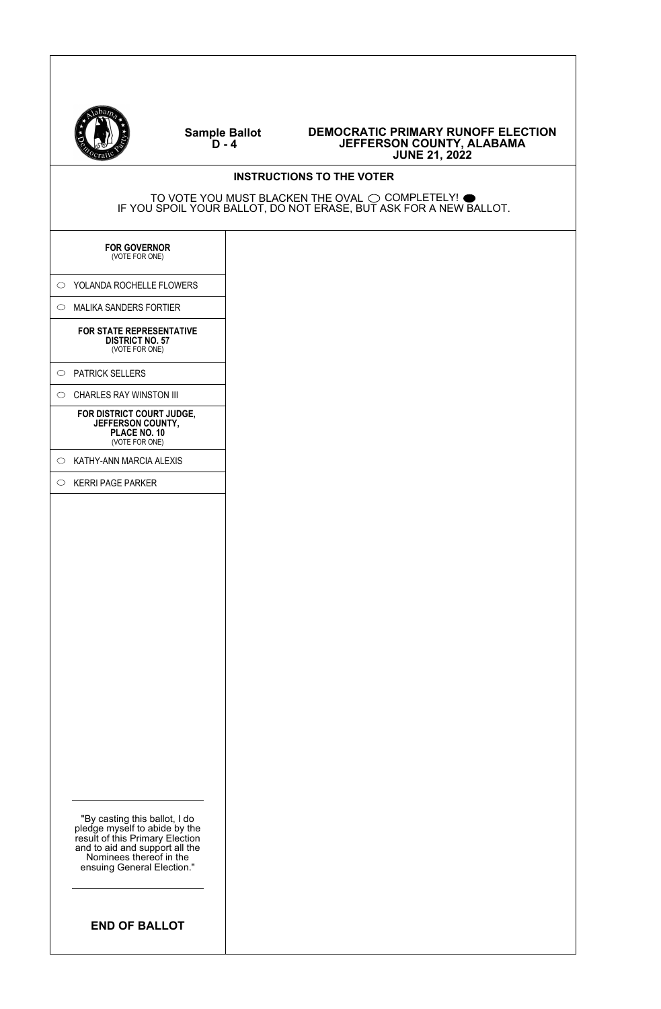

#### **Sample Ballot D - 4**

| $\sqrt{c_{\text{ratio}}}$                                                                                                                                                                    | <b>JUNE 21, 2022</b>                                                                                                                    |
|----------------------------------------------------------------------------------------------------------------------------------------------------------------------------------------------|-----------------------------------------------------------------------------------------------------------------------------------------|
|                                                                                                                                                                                              | <b>INSTRUCTIONS TO THE VOTER</b>                                                                                                        |
|                                                                                                                                                                                              | TO VOTE YOU MUST BLACKEN THE OVAL $\bigcirc$ completely! $\bullet$<br>IF YOU SPOIL YOUR BALLOT, DO NOT ERASE, BUT ASK FOR A NEW BALLOT. |
| <b>FOR GOVERNOR</b><br>(VOTE FOR ONE)                                                                                                                                                        |                                                                                                                                         |
| $\circ$ YOLANDA ROCHELLE FLOWERS                                                                                                                                                             |                                                                                                                                         |
| $\circ$ MALIKA SANDERS FORTIER                                                                                                                                                               |                                                                                                                                         |
| FOR STATE REPRESENTATIVE<br><b>DISTRICT NO. 57</b><br>(VOTE FOR ONE)                                                                                                                         |                                                                                                                                         |
| O PATRICK SELLERS                                                                                                                                                                            |                                                                                                                                         |
| CHARLES RAY WINSTON III<br>$\circ$                                                                                                                                                           |                                                                                                                                         |
| FOR DISTRICT COURT JUDGE,<br>JEFFERSON COUNTY,<br>PLACE NO. 10<br>(VOTE FOR ONE)                                                                                                             |                                                                                                                                         |
| KATHY-ANN MARCIA ALEXIS<br>$\circ$                                                                                                                                                           |                                                                                                                                         |
| $\circ$ KERRI PAGE PARKER                                                                                                                                                                    |                                                                                                                                         |
| "By casting this ballot, I do<br>pledge myself to abide by the<br>result of this Primary Election<br>and to aid and support all the<br>Nominees thereof in the<br>ensuing General Election." |                                                                                                                                         |
| <b>END OF BALLOT</b>                                                                                                                                                                         |                                                                                                                                         |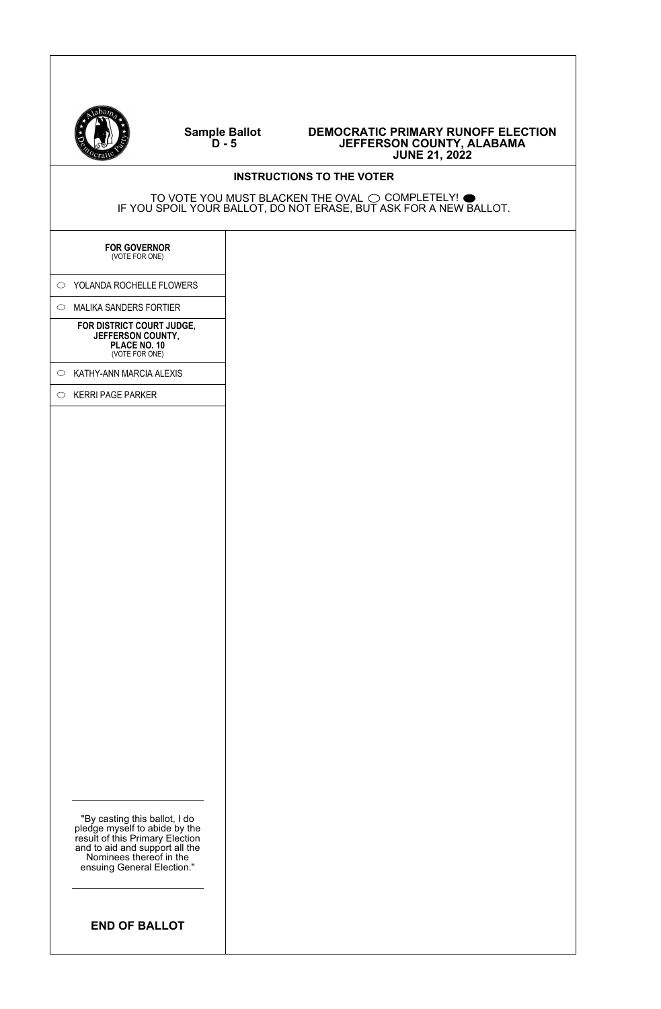

#### **Sample Ballot D - 5**

| Ceratic                                                                                                                                                                                      | <b>JUNE 21, 2022</b>             |  |
|----------------------------------------------------------------------------------------------------------------------------------------------------------------------------------------------|----------------------------------|--|
|                                                                                                                                                                                              | <b>INSTRUCTIONS TO THE VOTER</b> |  |
| TO VOTE YOU MUST BLACKEN THE OVAL $\bigcirc$ completely! $\bullet$<br>IF YOU SPOIL YOUR BALLOT, DO NOT ERASE, BUT ASK FOR A NEW BALLOT.                                                      |                                  |  |
| <b>FOR GOVERNOR</b><br>(VOTE FOR ONE)                                                                                                                                                        |                                  |  |
| O YOLANDA ROCHELLE FLOWERS                                                                                                                                                                   |                                  |  |
| MALIKA SANDERS FORTIER<br>$\circ$                                                                                                                                                            |                                  |  |
| FOR DISTRICT COURT JUDGE,<br>JEFFERSON COUNTY,<br>PLACE NO. 10<br>(VOTE FOR ONE)                                                                                                             |                                  |  |
| KATHY-ANN MARCIA ALEXIS<br>$\circ$                                                                                                                                                           |                                  |  |
| <b>KERRI PAGE PARKER</b><br>$\circ$                                                                                                                                                          |                                  |  |
|                                                                                                                                                                                              |                                  |  |
| "By casting this ballot, I do<br>pledge myself to abide by the<br>result of this Primary Election<br>and to aid and support all the<br>Nominees thereof in the<br>ensuing General Election." |                                  |  |
| <b>END OF BALLOT</b>                                                                                                                                                                         |                                  |  |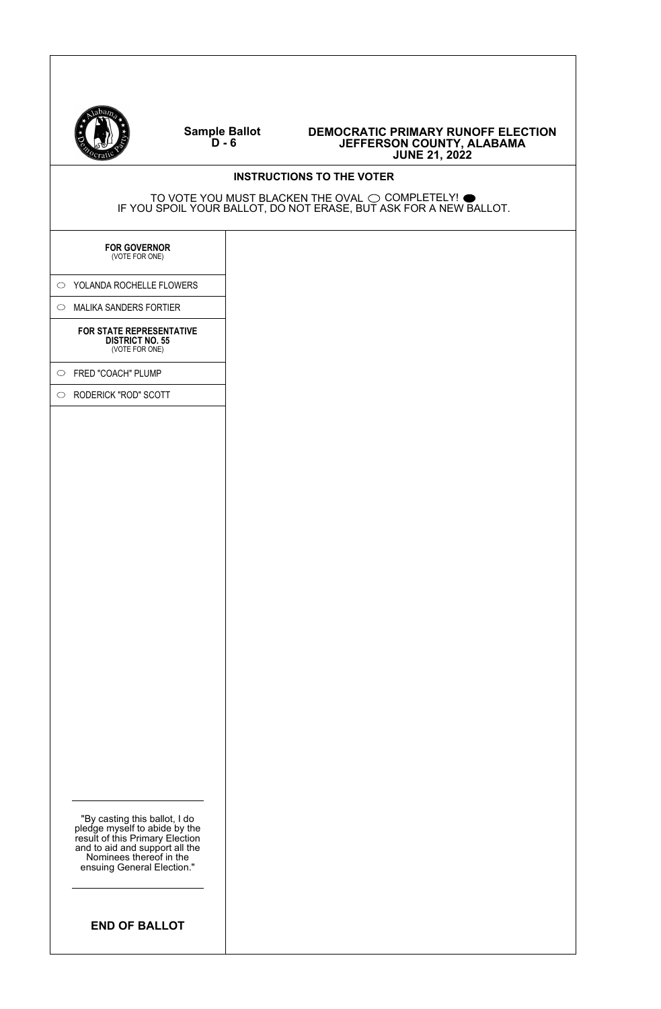

#### **DEMOCRATIC PRIMARY RUNOFF ELECTION JEFFERSON COUNTY, ALABAMA JUNE 21, 2022**

### **INSTRUCTIONS TO THE VOTER**

TO VOTE YOU MUST BLACKEN THE OVAL  $\odot$  COMPLETELY! IF YOU SPOIL YOUR BALLOT, DO NOT ERASE, BUT ASK FOR A NEW BALLOT.

**FOR GOVERNOR** (VOTE FOR ONE)

O YOLANDA ROCHELLE FLOWERS

 $\circ$  MALIKA SANDERS FORTIER

**FOR STATE REPRESENTATIVE DISTRICT NO. 55** (VOTE FOR ONE)

FRED "COACH" PLUMP

RODERICK "ROD" SCOTT

"By casting this ballot, I do pledge myself to abide by the result of this Primary Election and to aid and support all the Nominees thereof in the ensuing General Election."

**END OF BALLOT**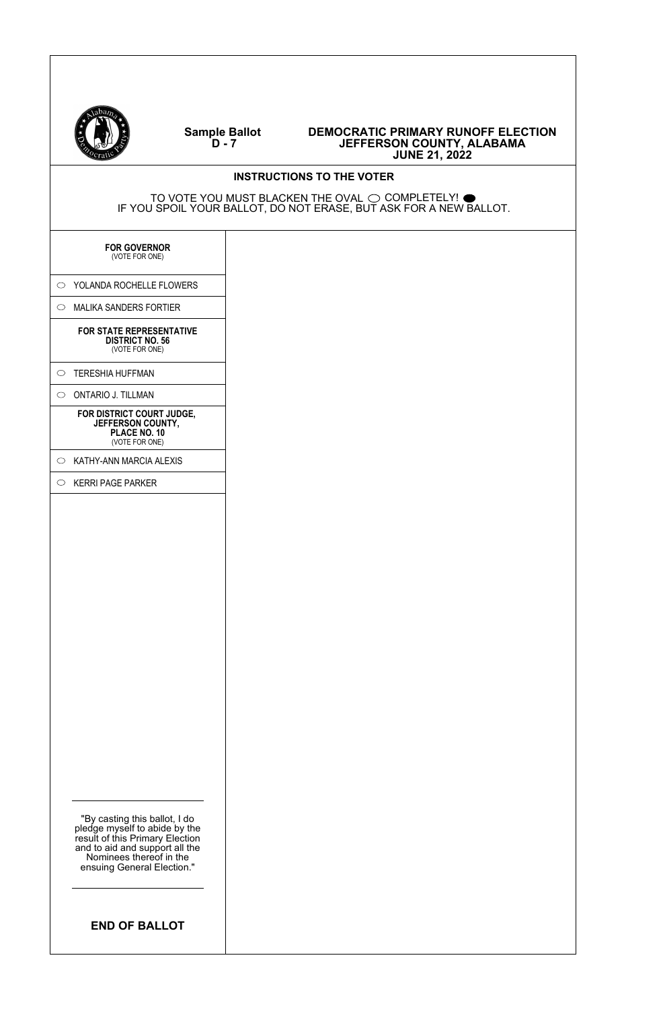

 $\overline{1}$ 

#### **Sample Ballot D - 7**

| $\Box$                                                                                                                                                                                       | JUNE ZI, ZUZZ                                                                                                                           |
|----------------------------------------------------------------------------------------------------------------------------------------------------------------------------------------------|-----------------------------------------------------------------------------------------------------------------------------------------|
|                                                                                                                                                                                              | <b>INSTRUCTIONS TO THE VOTER</b>                                                                                                        |
|                                                                                                                                                                                              | TO VOTE YOU MUST BLACKEN THE OVAL $\bigcirc$ completely! $\bullet$<br>IF YOU SPOIL YOUR BALLOT, DO NOT ERASE, BUT ASK FOR A NEW BALLOT. |
| <b>FOR GOVERNOR</b><br>(VOTE FOR ONE)                                                                                                                                                        |                                                                                                                                         |
| $\circ$ YOLANDA ROCHELLE FLOWERS                                                                                                                                                             |                                                                                                                                         |
| $\circ$ MALIKA SANDERS FORTIER                                                                                                                                                               |                                                                                                                                         |
| FOR STATE REPRESENTATIVE<br><b>DISTRICT NO. 56</b><br>(VOTE FOR ONE)                                                                                                                         |                                                                                                                                         |
| O TERESHIA HUFFMAN                                                                                                                                                                           |                                                                                                                                         |
| $\circ$ ONTARIO J. TILLMAN                                                                                                                                                                   |                                                                                                                                         |
| FOR DISTRICT COURT JUDGE,<br>JEFFERSON COUNTY,<br>PLACE NO. 10<br>(VOTE FOR ONE)                                                                                                             |                                                                                                                                         |
| $\circ$ KATHY-ANN MARCIA ALEXIS                                                                                                                                                              |                                                                                                                                         |
| $\circ$ KERRI PAGE PARKER                                                                                                                                                                    |                                                                                                                                         |
| "By casting this ballot, I do<br>pledge myself to abide by the<br>result of this Primary Election<br>and to aid and support all the<br>Nominees thereof in the<br>ensuing General Election." |                                                                                                                                         |
| <b>END OF BALLOT</b>                                                                                                                                                                         |                                                                                                                                         |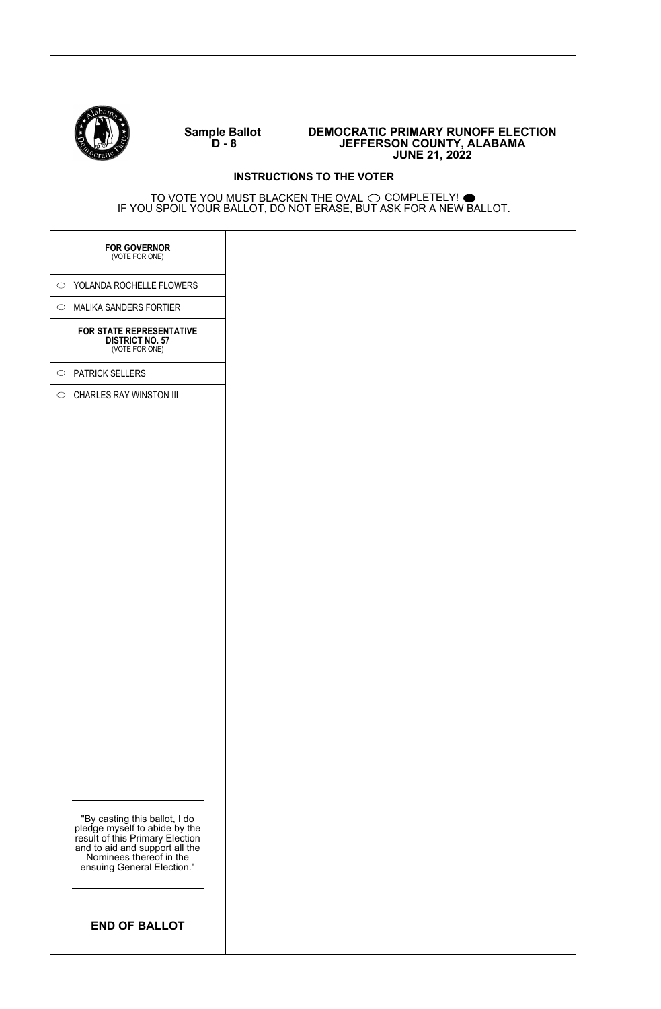

#### **DEMOCRATIC PRIMARY RUNOFF ELECTION JEFFERSON COUNTY, ALABAMA JUNE 21, 2022**

#### **INSTRUCTIONS TO THE VOTER**

TO VOTE YOU MUST BLACKEN THE OVAL  $\odot$  COMPLETELY! IF YOU SPOIL YOUR BALLOT, DO NOT ERASE, BUT ASK FOR A NEW BALLOT.

# **FOR GOVERNOR** (VOTE FOR ONE)

O YOLANDA ROCHELLE FLOWERS

 $\circ$  MALIKA SANDERS FORTIER

#### **FOR STATE REPRESENTATIVE** DISTRICT NO. 57 (VOTE FOR ONE)

 $\circ$  PATRICK SELLERS

 $\circ$  CHARLES RAY WINSTON III

"By casting this ballot, I do pledge myself to abide by the result of this Primary Election and to aid and support all the Nominees thereof in the ensuing General Election."

**END OF BALLOT**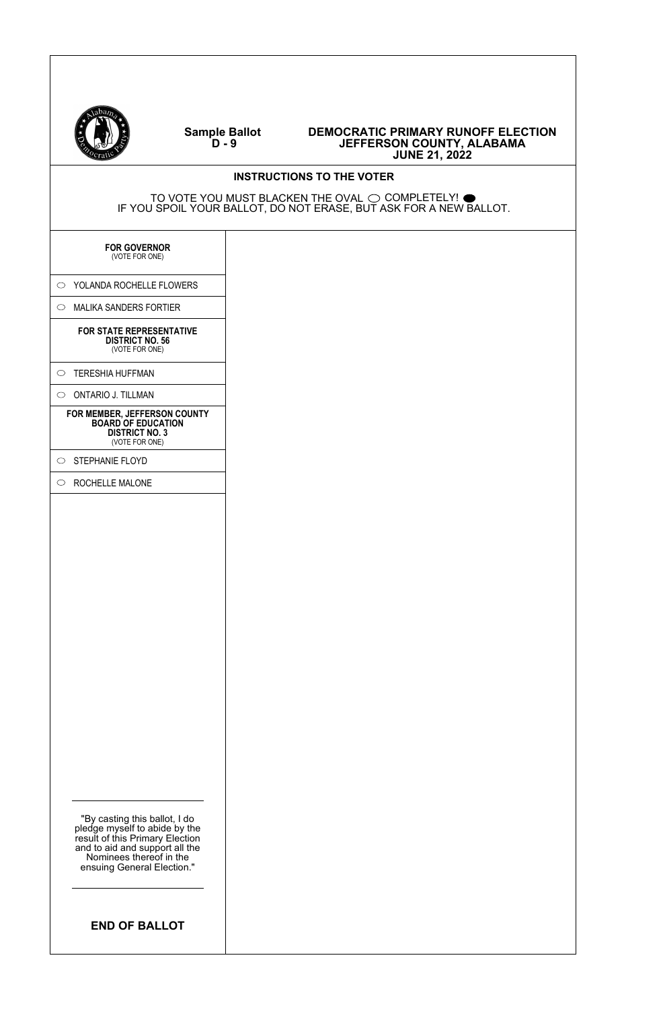

| $\sqrt{c_1}$                                                                                                                                                                                 | <b>JUNE 21, 2022</b>                                                                                                                    |
|----------------------------------------------------------------------------------------------------------------------------------------------------------------------------------------------|-----------------------------------------------------------------------------------------------------------------------------------------|
|                                                                                                                                                                                              | <b>INSTRUCTIONS TO THE VOTER</b>                                                                                                        |
|                                                                                                                                                                                              | TO VOTE YOU MUST BLACKEN THE OVAL $\bigcirc$ completely! $\bullet$<br>IF YOU SPOIL YOUR BALLOT, DO NOT ERASE, BUT ASK FOR A NEW BALLOT. |
| <b>FOR GOVERNOR</b><br>(VOTE FOR ONE)                                                                                                                                                        |                                                                                                                                         |
| $\circ$ YOLANDA ROCHELLE FLOWERS                                                                                                                                                             |                                                                                                                                         |
| $\circ$ MALIKA SANDERS FORTIER                                                                                                                                                               |                                                                                                                                         |
| FOR STATE REPRESENTATIVE<br><b>DISTRICT NO. 56</b><br>(VOTE FOR ONE)                                                                                                                         |                                                                                                                                         |
| $\circ$ TERESHIA HUFFMAN                                                                                                                                                                     |                                                                                                                                         |
| $\circ$ ONTARIO J. TILLMAN                                                                                                                                                                   |                                                                                                                                         |
| FOR MEMBER, JEFFERSON COUNTY<br><b>BOARD OF EDUCATION</b><br><b>DISTRICT NO. 3</b><br>(VOTE FOR ONE)                                                                                         |                                                                                                                                         |
| $\circ$ STEPHANIE FLOYD                                                                                                                                                                      |                                                                                                                                         |
| $\circ$ ROCHELLE MALONE                                                                                                                                                                      |                                                                                                                                         |
| "By casting this ballot, I do<br>pledge myself to abide by the<br>result of this Primary Election<br>and to aid and support all the<br>Nominees thereof in the<br>ensuing General Election." |                                                                                                                                         |
| <b>END OF BALLOT</b>                                                                                                                                                                         |                                                                                                                                         |